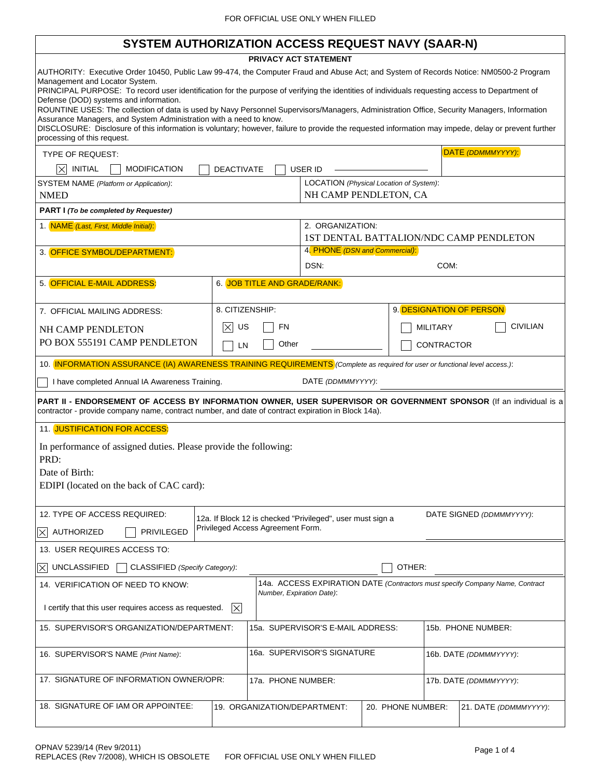# **SYSTEM AUTHORIZATION ACCESS REQUEST NAVY (SAAR-N)**

 $\sqrt{ }$ 

| 3131 EM AUTHUNIZATIUN AUUESS NEQUEST NAV I (SAAN-N)                                                                                                                                                                      |                                                                                                                                                                                                                           |                                         |                        |                          |                 |  |
|--------------------------------------------------------------------------------------------------------------------------------------------------------------------------------------------------------------------------|---------------------------------------------------------------------------------------------------------------------------------------------------------------------------------------------------------------------------|-----------------------------------------|------------------------|--------------------------|-----------------|--|
| PRIVACY ACT STATEMENT                                                                                                                                                                                                    |                                                                                                                                                                                                                           |                                         |                        |                          |                 |  |
| AUTHORITY: Executive Order 10450, Public Law 99-474, the Computer Fraud and Abuse Act; and System of Records Notice: NM0500-2 Program<br>Management and Locator System.                                                  |                                                                                                                                                                                                                           |                                         |                        |                          |                 |  |
| PRINCIPAL PURPOSE: To record user identification for the purpose of verifying the identities of individuals requesting access to Department of<br>Defense (DOD) systems and information.                                 |                                                                                                                                                                                                                           |                                         |                        |                          |                 |  |
| ROUNTINE USES: The collection of data is used by Navy Personnel Supervisors/Managers, Administration Office, Security Managers, Information                                                                              |                                                                                                                                                                                                                           |                                         |                        |                          |                 |  |
| processing of this request.                                                                                                                                                                                              | Assurance Managers, and System Administration with a need to know.<br>DISCLOSURE: Disclosure of this information is voluntary; however, failure to provide the requested information may impede, delay or prevent further |                                         |                        |                          |                 |  |
| DATE (DDMMMYYYY):<br>TYPE OF REQUEST:                                                                                                                                                                                    |                                                                                                                                                                                                                           |                                         |                        |                          |                 |  |
| <b>INITIAL</b><br><b>MODIFICATION</b><br>X<br><b>DEACTIVATE</b><br>USER ID                                                                                                                                               |                                                                                                                                                                                                                           |                                         |                        |                          |                 |  |
| SYSTEM NAME (Platform or Application):<br><b>NMED</b>                                                                                                                                                                    | LOCATION (Physical Location of System):<br>NH CAMP PENDLETON, CA                                                                                                                                                          |                                         |                        |                          |                 |  |
| PART I (To be completed by Requester)                                                                                                                                                                                    |                                                                                                                                                                                                                           |                                         |                        |                          |                 |  |
| 1. NAME (Last, First, Middle Initial):                                                                                                                                                                                   | 2. ORGANIZATION:                                                                                                                                                                                                          |                                         |                        |                          |                 |  |
|                                                                                                                                                                                                                          |                                                                                                                                                                                                                           | 1ST DENTAL BATTALION/NDC CAMP PENDLETON |                        |                          |                 |  |
| 3. OFFICE SYMBOL/DEPARTMENT:                                                                                                                                                                                             |                                                                                                                                                                                                                           | 4. PHONE (DSN and Commercial):          |                        |                          |                 |  |
|                                                                                                                                                                                                                          |                                                                                                                                                                                                                           | DSN:                                    |                        | COM:                     |                 |  |
| 5. OFFICIAL E-MAIL ADDRESS:                                                                                                                                                                                              | 6. JOB TITLE AND GRADE/RANK:                                                                                                                                                                                              |                                         |                        |                          |                 |  |
| 7. OFFICIAL MAILING ADDRESS:                                                                                                                                                                                             | 8. CITIZENSHIP:                                                                                                                                                                                                           |                                         |                        | 9. DESIGNATION OF PERSON |                 |  |
| NH CAMP PENDLETON                                                                                                                                                                                                        | $ \times $<br>US<br>FN                                                                                                                                                                                                    |                                         |                        | <b>MILITARY</b>          | <b>CIVILIAN</b> |  |
| PO BOX 555191 CAMP PENDLETON                                                                                                                                                                                             | Other<br>LN                                                                                                                                                                                                               |                                         |                        | <b>CONTRACTOR</b>        |                 |  |
| 10. INFORMATION ASSURANCE (IA) AWARENESS TRAINING REQUIREMENTS (Complete as required for user or functional level access.):                                                                                              |                                                                                                                                                                                                                           |                                         |                        |                          |                 |  |
|                                                                                                                                                                                                                          |                                                                                                                                                                                                                           |                                         |                        |                          |                 |  |
| I have completed Annual IA Awareness Training.                                                                                                                                                                           |                                                                                                                                                                                                                           | DATE (DDMMMYYYY):                       |                        |                          |                 |  |
| PART II - ENDORSEMENT OF ACCESS BY INFORMATION OWNER, USER SUPERVISOR OR GOVERNMENT SPONSOR (If an individual is a<br>contractor - provide company name, contract number, and date of contract expiration in Block 14a). |                                                                                                                                                                                                                           |                                         |                        |                          |                 |  |
| 11. JUSTIFICATION FOR ACCESS:                                                                                                                                                                                            |                                                                                                                                                                                                                           |                                         |                        |                          |                 |  |
| In performance of assigned duties. Please provide the following:                                                                                                                                                         |                                                                                                                                                                                                                           |                                         |                        |                          |                 |  |
| PRD:                                                                                                                                                                                                                     |                                                                                                                                                                                                                           |                                         |                        |                          |                 |  |
| Date of Birth:                                                                                                                                                                                                           |                                                                                                                                                                                                                           |                                         |                        |                          |                 |  |
| EDIPI (located on the back of CAC card):                                                                                                                                                                                 |                                                                                                                                                                                                                           |                                         |                        |                          |                 |  |
| 12. TYPE OF ACCESS REQUIRED:<br>DATE SIGNED (DDMMMYYYY):                                                                                                                                                                 |                                                                                                                                                                                                                           |                                         |                        |                          |                 |  |
| 12a. If Block 12 is checked "Privileged", user must sign a<br>Privileged Access Agreement Form.<br><b>AUTHORIZED</b><br><b>PRIVILEGED</b><br>$ \times $                                                                  |                                                                                                                                                                                                                           |                                         |                        |                          |                 |  |
| 13. USER REQUIRES ACCESS TO:                                                                                                                                                                                             |                                                                                                                                                                                                                           |                                         |                        |                          |                 |  |
| <b>UNCLASSIFIED</b><br>OTHER:<br>CLASSIFIED (Specify Category):<br>$ \times $                                                                                                                                            |                                                                                                                                                                                                                           |                                         |                        |                          |                 |  |
| 14a. ACCESS EXPIRATION DATE (Contractors must specify Company Name, Contract<br>14. VERIFICATION OF NEED TO KNOW:<br>Number, Expiration Date):                                                                           |                                                                                                                                                                                                                           |                                         |                        |                          |                 |  |
| I certify that this user requires access as requested.<br>$ \times $                                                                                                                                                     |                                                                                                                                                                                                                           |                                         |                        |                          |                 |  |
| 15b. PHONE NUMBER:<br>15. SUPERVISOR'S ORGANIZATION/DEPARTMENT:<br>15a. SUPERVISOR'S E-MAIL ADDRESS:                                                                                                                     |                                                                                                                                                                                                                           |                                         |                        |                          |                 |  |
| 16. SUPERVISOR'S NAME (Print Name):                                                                                                                                                                                      |                                                                                                                                                                                                                           | 16a. SUPERVISOR'S SIGNATURE             |                        | 16b. DATE (DDMMMYYYY):   |                 |  |
| 17. SIGNATURE OF INFORMATION OWNER/OPR:                                                                                                                                                                                  | 17a. PHONE NUMBER:                                                                                                                                                                                                        |                                         | 17b. DATE (DDMMMYYYY): |                          |                 |  |
|                                                                                                                                                                                                                          |                                                                                                                                                                                                                           |                                         |                        |                          |                 |  |
| 18. SIGNATURE OF IAM OR APPOINTEE:<br>20. PHONE NUMBER:<br>19. ORGANIZATION/DEPARTMENT:<br>21. DATE (DDMMMYYYY):                                                                                                         |                                                                                                                                                                                                                           |                                         |                        |                          |                 |  |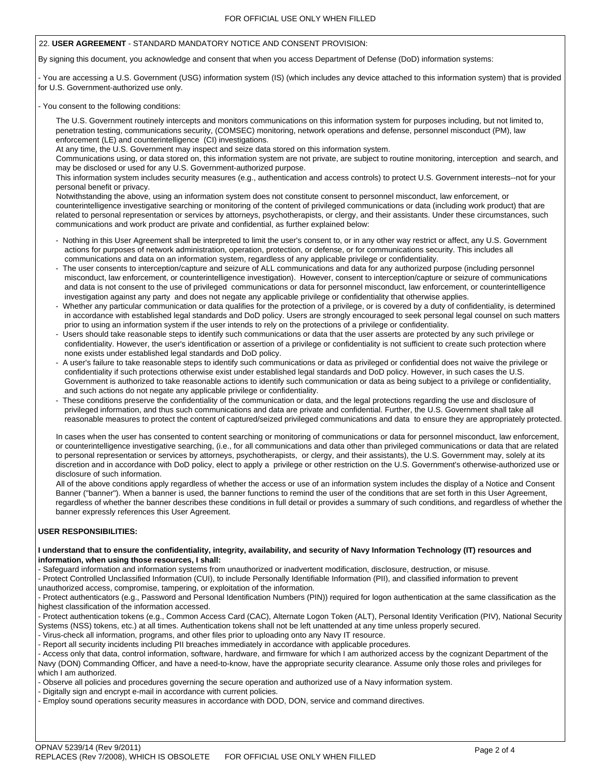#### 22. **USER AGREEMENT** - STANDARD MANDATORY NOTICE AND CONSENT PROVISION:

By signing this document, you acknowledge and consent that when you access Department of Defense (DoD) information systems:

- You are accessing a U.S. Government (USG) information system (IS) (which includes any device attached to this information system) that is provided for U.S. Government-authorized use only.

#### - You consent to the following conditions:

 The U.S. Government routinely intercepts and monitors communications on this information system for purposes including, but not limited to, penetration testing, communications security, (COMSEC) monitoring, network operations and defense, personnel misconduct (PM), law enforcement (LE) and counterintelligence (CI) investigations.

At any time, the U.S. Government may inspect and seize data stored on this information system.

 Communications using, or data stored on, this information system are not private, are subject to routine monitoring, interception and search, and may be disclosed or used for any U.S. Government-authorized purpose.

 This information system includes security measures (e.g., authentication and access controls) to protect U.S. Government interests--not for your personal benefit or privacy.

 Notwithstanding the above, using an information system does not constitute consent to personnel misconduct, law enforcement, or counterintelligence investigative searching or monitoring of the content of privileged communications or data (including work product) that are related to personal representation or services by attorneys, psychotherapists, or clergy, and their assistants. Under these circumstances, such communications and work product are private and confidential, as further explained below:

- Nothing in this User Agreement shall be interpreted to limit the user's consent to, or in any other way restrict or affect, any U.S. Government actions for purposes of network administration, operation, protection, or defense, or for communications security. This includes all communications and data on an information system, regardless of any applicable privilege or confidentiality.
- The user consents to interception/capture and seizure of ALL communications and data for any authorized purpose (including personnel misconduct, law enforcement, or counterintelligence investigation). However, consent to interception/capture or seizure of communications and data is not consent to the use of privileged communications or data for personnel misconduct, law enforcement, or counterintelligence investigation against any party and does not negate any applicable privilege or confidentiality that otherwise applies.
- Whether any particular communication or data qualifies for the protection of a privilege, or is covered by a duty of confidentiality, is determined in accordance with established legal standards and DoD policy. Users are strongly encouraged to seek personal legal counsel on such matters prior to using an information system if the user intends to rely on the protections of a privilege or confidentiality.
- Users should take reasonable steps to identify such communications or data that the user asserts are protected by any such privilege or confidentiality. However, the user's identification or assertion of a privilege or confidentiality is not sufficient to create such protection where none exists under established legal standards and DoD policy.
- A user's failure to take reasonable steps to identify such communications or data as privileged or confidential does not waive the privilege or confidentiality if such protections otherwise exist under established legal standards and DoD policy. However, in such cases the U.S. Government is authorized to take reasonable actions to identify such communication or data as being subject to a privilege or confidentiality, and such actions do not negate any applicable privilege or confidentiality.
- These conditions preserve the confidentiality of the communication or data, and the legal protections regarding the use and disclosure of privileged information, and thus such communications and data are private and confidential. Further, the U.S. Government shall take all reasonable measures to protect the content of captured/seized privileged communications and data to ensure they are appropriately protected.

 In cases when the user has consented to content searching or monitoring of communications or data for personnel misconduct, law enforcement, or counterintelligence investigative searching, (i.e., for all communications and data other than privileged communications or data that are related to personal representation or services by attorneys, psychotherapists, or clergy, and their assistants), the U.S. Government may, solely at its discretion and in accordance with DoD policy, elect to apply a privilege or other restriction on the U.S. Government's otherwise-authorized use or disclosure of such information.

 All of the above conditions apply regardless of whether the access or use of an information system includes the display of a Notice and Consent Banner ("banner"). When a banner is used, the banner functions to remind the user of the conditions that are set forth in this User Agreement, regardless of whether the banner describes these conditions in full detail or provides a summary of such conditions, and regardless of whether the banner expressly references this User Agreement.

#### **USER RESPONSIBILITIES:**

#### **I understand that to ensure the confidentiality, integrity, availability, and security of Navy Information Technology (IT) resources and information, when using those resources, I shall:**

- Safeguard information and information systems from unauthorized or inadvertent modification, disclosure, destruction, or misuse.

- Protect Controlled Unclassified Information (CUI), to include Personally Identifiable Information (PII), and classified information to prevent unauthorized access, compromise, tampering, or exploitation of the information.

- Protect authenticators (e.g., Password and Personal Identification Numbers (PIN)) required for logon authentication at the same classification as the highest classification of the information accessed.

- Protect authentication tokens (e.g., Common Access Card (CAC), Alternate Logon Token (ALT), Personal Identity Verification (PIV), National Security Systems (NSS) tokens, etc.) at all times. Authentication tokens shall not be left unattended at any time unless properly secured.

- Virus-check all information, programs, and other files prior to uploading onto any Navy IT resource.

- Report all security incidents including PII breaches immediately in accordance with applicable procedures.

- Access only that data, control information, software, hardware, and firmware for which I am authorized access by the cognizant Department of the Navy (DON) Commanding Officer, and have a need-to-know, have the appropriate security clearance. Assume only those roles and privileges for which I am authorized.

- Observe all policies and procedures governing the secure operation and authorized use of a Navy information system.

- Digitally sign and encrypt e-mail in accordance with current policies.

- Employ sound operations security measures in accordance with DOD, DON, service and command directives.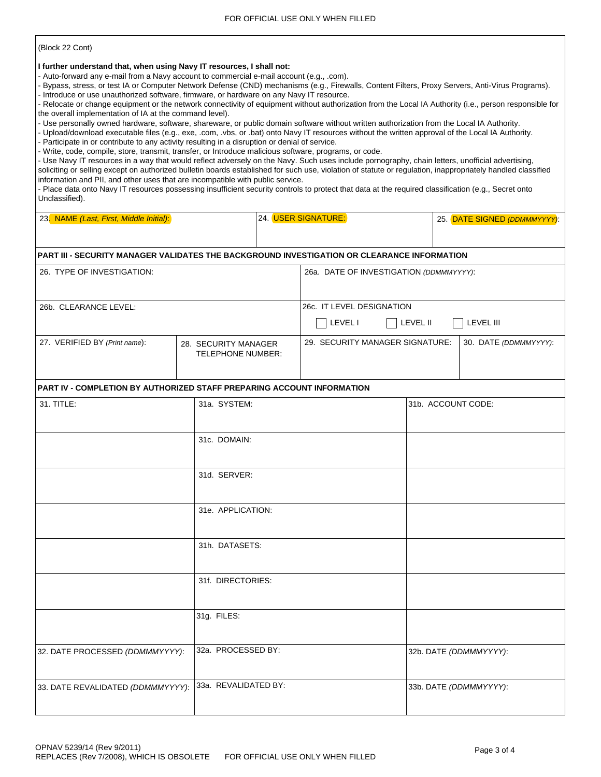(Block 22 Cont)

**I further understand that, when using Navy IT resources, I shall not:**

- Auto-forward any e-mail from a Navy account to commercial e-mail account (e.g., .com).

- Bypass, stress, or test IA or Computer Network Defense (CND) mechanisms (e.g., Firewalls, Content Filters, Proxy Servers, Anti-Virus Programs). - Introduce or use unauthorized software, firmware, or hardware on any Navy IT resource.

- Relocate or change equipment or the network connectivity of equipment without authorization from the Local IA Authority (i.e., person responsible for the overall implementation of IA at the command level).

- Use personally owned hardware, software, shareware, or public domain software without written authorization from the Local IA Authority.

- Upload/download executable files (e.g., exe, .com, .vbs, or .bat) onto Navy IT resources without the written approval of the Local IA Authority.

- Participate in or contribute to any activity resulting in a disruption or denial of service.

- Write, code, compile, store, transmit, transfer, or Introduce malicious software, programs, or code.

- Use Navy IT resources in a way that would reflect adversely on the Navy. Such uses include pornography, chain letters, unofficial advertising, soliciting or selling except on authorized bulletin boards established for such use, violation of statute or regulation, inappropriately handled classified information and PII, and other uses that are incompatible with public service.

- Place data onto Navy IT resources possessing insufficient security controls to protect that data at the required classification (e.g., Secret onto Unclassified).

| 23. NAME (Last, First, Middle Initial):                                                     |                      |                                                                              | 24. USER SIGNATURE:                     | 25. DATE SIGNED (DDMMMYYYY): |                        |  |
|---------------------------------------------------------------------------------------------|----------------------|------------------------------------------------------------------------------|-----------------------------------------|------------------------------|------------------------|--|
|                                                                                             |                      |                                                                              |                                         |                              |                        |  |
| PART III - SECURITY MANAGER VALIDATES THE BACKGROUND INVESTIGATION OR CLEARANCE INFORMATION |                      |                                                                              |                                         |                              |                        |  |
| 26. TYPE OF INVESTIGATION:                                                                  |                      |                                                                              | 26a. DATE OF INVESTIGATION (DDMMMYYYY): |                              |                        |  |
|                                                                                             |                      |                                                                              |                                         |                              |                        |  |
| 26b. CLEARANCE LEVEL:                                                                       |                      |                                                                              | 26c. IT LEVEL DESIGNATION               |                              |                        |  |
|                                                                                             |                      |                                                                              | LEVEL I<br><b>LEVEL II</b><br>LEVEL III |                              |                        |  |
| 27. VERIFIED BY (Print name):                                                               |                      | 29. SECURITY MANAGER SIGNATURE:<br>28. SECURITY MANAGER<br>TELEPHONE NUMBER: |                                         |                              | 30. DATE (DDMMMYYYY):  |  |
| <b>PART IV - COMPLETION BY AUTHORIZED STAFF PREPARING ACCOUNT INFORMATION</b>               |                      |                                                                              |                                         |                              |                        |  |
| 31. TITLE:                                                                                  | 31a. SYSTEM:         |                                                                              |                                         | 31b. ACCOUNT CODE:           |                        |  |
|                                                                                             | 31c. DOMAIN:         |                                                                              |                                         |                              |                        |  |
|                                                                                             | 31d. SERVER:         |                                                                              |                                         |                              |                        |  |
|                                                                                             | 31e. APPLICATION:    |                                                                              |                                         |                              |                        |  |
|                                                                                             | 31h. DATASETS:       |                                                                              |                                         |                              |                        |  |
|                                                                                             | 31f. DIRECTORIES:    |                                                                              |                                         |                              |                        |  |
|                                                                                             | 31g. FILES:          |                                                                              |                                         |                              |                        |  |
| 32. DATE PROCESSED (DDMMMYYYY):                                                             | 32a. PROCESSED BY:   |                                                                              |                                         |                              | 32b. DATE (DDMMMYYYY): |  |
| 33. DATE REVALIDATED (DDMMMYYYY):                                                           | 33a. REVALIDATED BY: |                                                                              |                                         |                              | 33b. DATE (DDMMMYYYY): |  |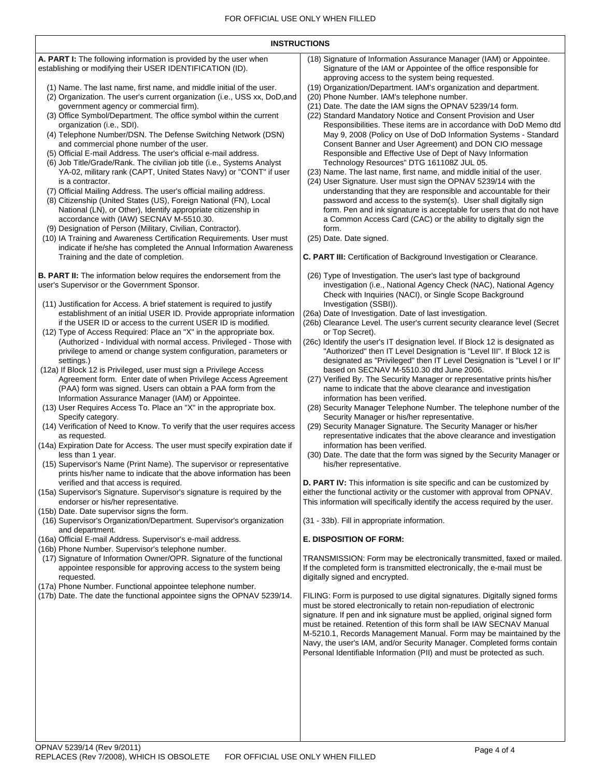| <b>INSTRUCTIONS</b>                                                                                                                                                                                                                                                                                                                                                                                                                                                                                                                                                                                                                                                                                                                                                                                                                                                                                                                                                                                                                                                                                                                                                                                                                                                                                                                                                                                                                                                                                                                                                                                                                                                                                                                                                                                                                                                                                                                                                                                                                                                                                                                                                                                                                                                                                                                                                                                                                                                                                                                                                                                                                                                                                                                                                                                                                                                                                                                                                                                                                                                                                                                                                                                                                                                                                          |                                                                                                                                                                                                                                                                                                                                                                                                                                                                                                                                                                                                                                                                                                                                                                                                                                                                                                                                                                                                                                                                                                                                                                                                                                                                                                                                                                                                                                                                                                                                                                                                                                                                                                                                                                                                                                                                                                                                                                                                                                                                                                                                                                                                                                                                                                                                                                                                                                                                                                                                                                                                                                                                                                                                                                                                                                                                                                                                                                                                                                                                                                                                                                                                                                                                                                                                                                                                                                                                                                                                                                                                                     |  |  |  |  |  |
|--------------------------------------------------------------------------------------------------------------------------------------------------------------------------------------------------------------------------------------------------------------------------------------------------------------------------------------------------------------------------------------------------------------------------------------------------------------------------------------------------------------------------------------------------------------------------------------------------------------------------------------------------------------------------------------------------------------------------------------------------------------------------------------------------------------------------------------------------------------------------------------------------------------------------------------------------------------------------------------------------------------------------------------------------------------------------------------------------------------------------------------------------------------------------------------------------------------------------------------------------------------------------------------------------------------------------------------------------------------------------------------------------------------------------------------------------------------------------------------------------------------------------------------------------------------------------------------------------------------------------------------------------------------------------------------------------------------------------------------------------------------------------------------------------------------------------------------------------------------------------------------------------------------------------------------------------------------------------------------------------------------------------------------------------------------------------------------------------------------------------------------------------------------------------------------------------------------------------------------------------------------------------------------------------------------------------------------------------------------------------------------------------------------------------------------------------------------------------------------------------------------------------------------------------------------------------------------------------------------------------------------------------------------------------------------------------------------------------------------------------------------------------------------------------------------------------------------------------------------------------------------------------------------------------------------------------------------------------------------------------------------------------------------------------------------------------------------------------------------------------------------------------------------------------------------------------------------------------------------------------------------------------------------------------------------|---------------------------------------------------------------------------------------------------------------------------------------------------------------------------------------------------------------------------------------------------------------------------------------------------------------------------------------------------------------------------------------------------------------------------------------------------------------------------------------------------------------------------------------------------------------------------------------------------------------------------------------------------------------------------------------------------------------------------------------------------------------------------------------------------------------------------------------------------------------------------------------------------------------------------------------------------------------------------------------------------------------------------------------------------------------------------------------------------------------------------------------------------------------------------------------------------------------------------------------------------------------------------------------------------------------------------------------------------------------------------------------------------------------------------------------------------------------------------------------------------------------------------------------------------------------------------------------------------------------------------------------------------------------------------------------------------------------------------------------------------------------------------------------------------------------------------------------------------------------------------------------------------------------------------------------------------------------------------------------------------------------------------------------------------------------------------------------------------------------------------------------------------------------------------------------------------------------------------------------------------------------------------------------------------------------------------------------------------------------------------------------------------------------------------------------------------------------------------------------------------------------------------------------------------------------------------------------------------------------------------------------------------------------------------------------------------------------------------------------------------------------------------------------------------------------------------------------------------------------------------------------------------------------------------------------------------------------------------------------------------------------------------------------------------------------------------------------------------------------------------------------------------------------------------------------------------------------------------------------------------------------------------------------------------------------------------------------------------------------------------------------------------------------------------------------------------------------------------------------------------------------------------------------------------------------------------------------------------------------------|--|--|--|--|--|
| A. PART I: The following information is provided by the user when<br>establishing or modifying their USER IDENTIFICATION (ID).<br>(1) Name. The last name, first name, and middle initial of the user.<br>(2) Organization. The user's current organization (i.e., USS xx, DoD, and<br>government agency or commercial firm).<br>(3) Office Symbol/Department. The office symbol within the current<br>organization (i.e., SDI).<br>(4) Telephone Number/DSN. The Defense Switching Network (DSN)<br>and commercial phone number of the user.<br>(5) Official E-mail Address. The user's official e-mail address.<br>(6) Job Title/Grade/Rank. The civilian job title (i.e., Systems Analyst<br>YA-02, military rank (CAPT, United States Navy) or "CONT" if user<br>is a contractor.<br>(7) Official Mailing Address. The user's official mailing address.<br>(8) Citizenship (United States (US), Foreign National (FN), Local<br>National (LN), or Other), Identify appropriate citizenship in<br>accordance with (IAW) SECNAV M-5510.30.<br>(9) Designation of Person (Military, Civilian, Contractor).<br>(10) IA Training and Awareness Certification Requirements. User must<br>indicate if he/she has completed the Annual Information Awareness<br>Training and the date of completion.<br>B. PART II: The information below requires the endorsement from the<br>user's Supervisor or the Government Sponsor.<br>(11) Justification for Access. A brief statement is required to justify<br>establishment of an initial USER ID. Provide appropriate information<br>if the USER ID or access to the current USER ID is modified.<br>(12) Type of Access Required: Place an "X" in the appropriate box.<br>(Authorized - Individual with normal access. Privileged - Those with<br>privilege to amend or change system configuration, parameters or<br>settings.)<br>(12a) If Block 12 is Privileged, user must sign a Privilege Access<br>Agreement form. Enter date of when Privilege Access Agreement<br>(PAA) form was signed. Users can obtain a PAA form from the<br>Information Assurance Manager (IAM) or Appointee.<br>(13) User Requires Access To. Place an "X" in the appropriate box.<br>Specify category.<br>(14) Verification of Need to Know. To verify that the user requires access<br>as requested.<br>(14a) Expiration Date for Access. The user must specify expiration date if<br>less than 1 year.<br>(15) Supervisor's Name (Print Name). The supervisor or representative<br>prints his/her name to indicate that the above information has been<br>verified and that access is required.<br>(15a) Supervisor's Signature. Supervisor's signature is required by the<br>endorser or his/her representative.<br>(15b) Date. Date supervisor signs the form.<br>(16) Supervisor's Organization/Department. Supervisor's organization<br>and department.<br>(16a) Official E-mail Address. Supervisor's e-mail address.<br>(16b) Phone Number. Supervisor's telephone number.<br>(17) Signature of Information Owner/OPR. Signature of the functional<br>appointee responsible for approving access to the system being<br>requested.<br>(17a) Phone Number. Functional appointee telephone number.<br>(17b) Date. The date the functional appointee signs the OPNAV 5239/14. | (18) Signature of Information Assurance Manager (IAM) or Appointee.<br>Signature of the IAM or Appointee of the office responsible for<br>approving access to the system being requested.<br>(19) Organization/Department. IAM's organization and department.<br>(20) Phone Number. IAM's telephone number.<br>(21) Date. The date the IAM signs the OPNAV 5239/14 form.<br>(22) Standard Mandatory Notice and Consent Provision and User<br>Responsibilities. These items are in accordance with DoD Memo dtd<br>May 9, 2008 (Policy on Use of DoD Information Systems - Standard<br>Consent Banner and User Agreement) and DON CIO message<br>Responsible and Effective Use of Dept of Navy Information<br>Technology Resources" DTG 161108Z JUL 05.<br>(23) Name. The last name, first name, and middle initial of the user.<br>(24) User Signature. User must sign the OPNAV 5239/14 with the<br>understanding that they are responsible and accountable for their<br>password and access to the system(s). User shall digitally sign<br>form. Pen and ink signature is acceptable for users that do not have<br>a Common Access Card (CAC) or the ability to digitally sign the<br>form.<br>(25) Date. Date signed.<br>C. PART III: Certification of Background Investigation or Clearance.<br>(26) Type of Investigation. The user's last type of background<br>investigation (i.e., National Agency Check (NAC), National Agency<br>Check with Inquiries (NACI), or Single Scope Background<br>Investigation (SSBI)).<br>(26a) Date of Investigation. Date of last investigation.<br>(26b) Clearance Level. The user's current security clearance level (Secret<br>or Top Secret).<br>(26c) Identify the user's IT designation level. If Block 12 is designated as<br>"Authorized" then IT Level Designation is "Level III". If Block 12 is<br>designated as "Privileged" then IT Level Designation is "Level I or II"<br>based on SECNAV M-5510.30 dtd June 2006.<br>(27) Verified By. The Security Manager or representative prints his/her<br>name to indicate that the above clearance and investigation<br>information has been verified.<br>(28) Security Manager Telephone Number. The telephone number of the<br>Security Manager or his/her representative.<br>(29) Security Manager Signature. The Security Manager or his/her<br>representative indicates that the above clearance and investigation<br>information has been verified.<br>(30) Date. The date that the form was signed by the Security Manager or<br>his/her representative.<br>D. PART IV: This information is site specific and can be customized by<br>either the functional activity or the customer with approval from OPNAV.<br>This information will specifically identify the access required by the user.<br>(31 - 33b). Fill in appropriate information.<br><b>E. DISPOSITION OF FORM:</b><br>TRANSMISSION: Form may be electronically transmitted, faxed or mailed.<br>If the completed form is transmitted electronically, the e-mail must be<br>digitally signed and encrypted.<br>FILING: Form is purposed to use digital signatures. Digitally signed forms<br>must be stored electronically to retain non-repudiation of electronic<br>signature. If pen and ink signature must be applied, original signed form<br>must be retained. Retention of this form shall be IAW SECNAV Manual<br>M-5210.1, Records Management Manual. Form may be maintained by the<br>Navy, the user's IAM, and/or Security Manager. Completed forms contain<br>Personal Identifiable Information (PII) and must be protected as such. |  |  |  |  |  |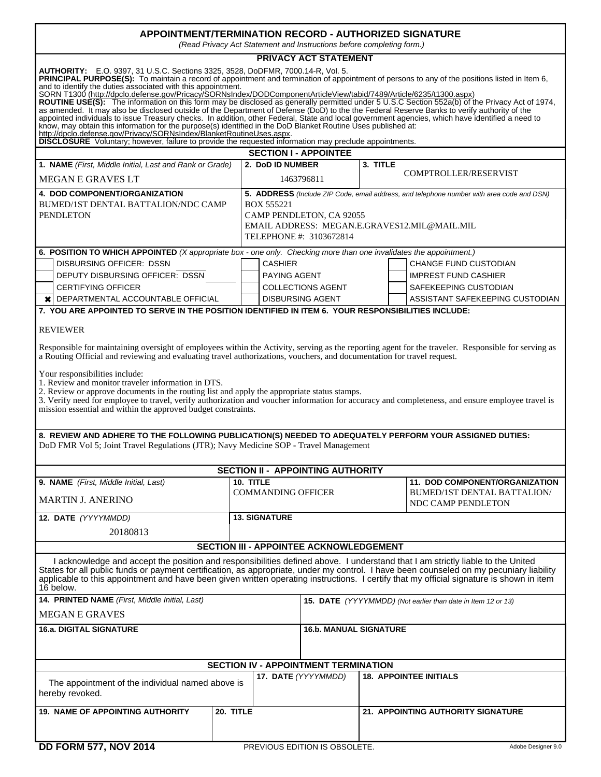## **APPOINTMENT/TERMINATION RECORD - AUTHORIZED SIGNATURE**

*(Read Privacy Act Statement and Instructions before completing form.)*

| <b>PRIVACY ACT STATEMENT</b>                                                                                                                                                                                                                                                                                                                                                                                                                                                                                                                                                                                                                                                                                                                                                                                                                                                                                                                                                                           |           |                                                                                           |                                          |            |                                                   |  |  |
|--------------------------------------------------------------------------------------------------------------------------------------------------------------------------------------------------------------------------------------------------------------------------------------------------------------------------------------------------------------------------------------------------------------------------------------------------------------------------------------------------------------------------------------------------------------------------------------------------------------------------------------------------------------------------------------------------------------------------------------------------------------------------------------------------------------------------------------------------------------------------------------------------------------------------------------------------------------------------------------------------------|-----------|-------------------------------------------------------------------------------------------|------------------------------------------|------------|---------------------------------------------------|--|--|
| AUTHORITY: E.O. 9397, 31 U.S.C. Sections 3325, 3528, DoDFMR, 7000.14-R, Vol. 5.<br>PRINCIPAL PURPOSE(S): To maintain a record of appointment and termination of appointment of persons to any of the positions listed in Item 6,<br>and to identify the duties associated with this appointment.<br>SORN T1300 (http://dpclo.defense.gov/Pricacy/SORNsIndex/DODComponentArticleView/tabid/7489/Article/6235/t1300.aspx)<br>ROUTINE USE(S): The information on this form may be disclosed as generally permitted under 5 U.S.C Section 552a(b) of the Privacy Act of 1974, as amended. It may also be disclosed outside of the Department of Defense (DoD)<br>appointed individuals to issue Treasury checks. In addition, other Federal, State and local government agencies, which have identified a need to<br>know, may obtain this information for the purpose(s) identified in the DoD Blanket Routine Uses published at:<br>http://dpclo.defense.gov/Privacy/SORNsIndex/BlanketRoutineUses.aspx. |           |                                                                                           |                                          |            |                                                   |  |  |
| <b>DISCLOSURE</b> Voluntary; however, failure to provide the requested information may preclude appointments.                                                                                                                                                                                                                                                                                                                                                                                                                                                                                                                                                                                                                                                                                                                                                                                                                                                                                          |           |                                                                                           |                                          |            |                                                   |  |  |
|                                                                                                                                                                                                                                                                                                                                                                                                                                                                                                                                                                                                                                                                                                                                                                                                                                                                                                                                                                                                        |           |                                                                                           | <b>SECTION I - APPOINTEE</b>             |            |                                                   |  |  |
| 1. NAME (First, Middle Initial, Last and Rank or Grade)                                                                                                                                                                                                                                                                                                                                                                                                                                                                                                                                                                                                                                                                                                                                                                                                                                                                                                                                                |           | 2. DoD ID NUMBER                                                                          |                                          | $3.$ TITLE |                                                   |  |  |
| <b>MEGAN E GRAVES LT</b>                                                                                                                                                                                                                                                                                                                                                                                                                                                                                                                                                                                                                                                                                                                                                                                                                                                                                                                                                                               |           | <b>COMPTROLLER/RESERVIST</b><br>1463796811                                                |                                          |            |                                                   |  |  |
| 4. DOD COMPONENT/ORGANIZATION                                                                                                                                                                                                                                                                                                                                                                                                                                                                                                                                                                                                                                                                                                                                                                                                                                                                                                                                                                          |           | 5. ADDRESS (Include ZIP Code, email address, and telephone number with area code and DSN) |                                          |            |                                                   |  |  |
| BUMED/1ST DENTAL BATTALION/NDC CAMP                                                                                                                                                                                                                                                                                                                                                                                                                                                                                                                                                                                                                                                                                                                                                                                                                                                                                                                                                                    |           | <b>BOX 555221</b>                                                                         |                                          |            |                                                   |  |  |
| <b>PENDLETON</b>                                                                                                                                                                                                                                                                                                                                                                                                                                                                                                                                                                                                                                                                                                                                                                                                                                                                                                                                                                                       |           |                                                                                           | CAMP PENDLETON, CA 92055                 |            |                                                   |  |  |
|                                                                                                                                                                                                                                                                                                                                                                                                                                                                                                                                                                                                                                                                                                                                                                                                                                                                                                                                                                                                        |           |                                                                                           |                                          |            | EMAIL ADDRESS: MEGAN.E.GRAVES12.MIL@MAIL.MIL      |  |  |
|                                                                                                                                                                                                                                                                                                                                                                                                                                                                                                                                                                                                                                                                                                                                                                                                                                                                                                                                                                                                        |           |                                                                                           | TELEPHONE #: 3103672814                  |            |                                                   |  |  |
| 6. POSITION TO WHICH APPOINTED (X appropriate box - one only. Checking more than one invalidates the appointment.)                                                                                                                                                                                                                                                                                                                                                                                                                                                                                                                                                                                                                                                                                                                                                                                                                                                                                     |           |                                                                                           |                                          |            |                                                   |  |  |
| DISBURSING OFFICER: DSSN                                                                                                                                                                                                                                                                                                                                                                                                                                                                                                                                                                                                                                                                                                                                                                                                                                                                                                                                                                               |           | <b>CASHIER</b>                                                                            |                                          |            | <b>CHANGE FUND CUSTODIAN</b>                      |  |  |
| DEPUTY DISBURSING OFFICER: DSSN                                                                                                                                                                                                                                                                                                                                                                                                                                                                                                                                                                                                                                                                                                                                                                                                                                                                                                                                                                        |           | PAYING AGENT                                                                              |                                          |            | <b>IMPREST FUND CASHIER</b>                       |  |  |
| <b>CERTIFYING OFFICER</b>                                                                                                                                                                                                                                                                                                                                                                                                                                                                                                                                                                                                                                                                                                                                                                                                                                                                                                                                                                              |           |                                                                                           | <b>COLLECTIONS AGENT</b>                 |            | SAFEKEEPING CUSTODIAN                             |  |  |
| $\chi$ DEPARTMENTAL ACCOUNTABLE OFFICIAL                                                                                                                                                                                                                                                                                                                                                                                                                                                                                                                                                                                                                                                                                                                                                                                                                                                                                                                                                               |           |                                                                                           | <b>DISBURSING AGENT</b>                  |            | ASSISTANT SAFEKEEPING CUSTODIAN                   |  |  |
| 7. YOU ARE APPOINTED TO SERVE IN THE POSITION IDENTIFIED IN ITEM 6. YOUR RESPONSIBILITIES INCLUDE:                                                                                                                                                                                                                                                                                                                                                                                                                                                                                                                                                                                                                                                                                                                                                                                                                                                                                                     |           |                                                                                           |                                          |            |                                                   |  |  |
| <b>REVIEWER</b>                                                                                                                                                                                                                                                                                                                                                                                                                                                                                                                                                                                                                                                                                                                                                                                                                                                                                                                                                                                        |           |                                                                                           |                                          |            |                                                   |  |  |
| Responsible for maintaining oversight of employees within the Activity, serving as the reporting agent for the traveler. Responsible for serving as<br>a Routing Official and reviewing and evaluating travel authorizations, vouchers, and documentation for travel request.<br>Your responsibilities include:                                                                                                                                                                                                                                                                                                                                                                                                                                                                                                                                                                                                                                                                                        |           |                                                                                           |                                          |            |                                                   |  |  |
| 1. Review and monitor traveler information in DTS.<br>2. Review or approve documents in the routing list and apply the appropriate status stamps.<br>3. Verify need for employee to travel, verify authorization and voucher information for accuracy and completeness, and ensure employee travel is<br>mission essential and within the approved budget constraints.                                                                                                                                                                                                                                                                                                                                                                                                                                                                                                                                                                                                                                 |           |                                                                                           |                                          |            |                                                   |  |  |
| 8. REVIEW AND ADHERE TO THE FOLLOWING PUBLICATION(S) NEEDED TO ADEQUATELY PERFORM YOUR ASSIGNED DUTIES:<br>DoD FMR Vol 5; Joint Travel Regulations (JTR); Navy Medicine SOP - Travel Management                                                                                                                                                                                                                                                                                                                                                                                                                                                                                                                                                                                                                                                                                                                                                                                                        |           |                                                                                           |                                          |            |                                                   |  |  |
|                                                                                                                                                                                                                                                                                                                                                                                                                                                                                                                                                                                                                                                                                                                                                                                                                                                                                                                                                                                                        |           |                                                                                           | <b>SECTION II - APPOINTING AUTHORITY</b> |            |                                                   |  |  |
| 9. NAME (First, Middle Initial, Last)                                                                                                                                                                                                                                                                                                                                                                                                                                                                                                                                                                                                                                                                                                                                                                                                                                                                                                                                                                  |           | 10. TITLE                                                                                 |                                          |            | 11. DOD COMPONENT/ORGANIZATION                    |  |  |
| <b>MARTIN J. ANERINO</b>                                                                                                                                                                                                                                                                                                                                                                                                                                                                                                                                                                                                                                                                                                                                                                                                                                                                                                                                                                               |           | <b>COMMANDING OFFICER</b>                                                                 |                                          |            | BUMED/1ST DENTAL BATTALION/<br>NDC CAMP PENDLETON |  |  |
| 12. DATE (YYYYMMDD)                                                                                                                                                                                                                                                                                                                                                                                                                                                                                                                                                                                                                                                                                                                                                                                                                                                                                                                                                                                    |           | <b>13. SIGNATURE</b>                                                                      |                                          |            |                                                   |  |  |
|                                                                                                                                                                                                                                                                                                                                                                                                                                                                                                                                                                                                                                                                                                                                                                                                                                                                                                                                                                                                        |           |                                                                                           |                                          |            |                                                   |  |  |
| 20180813                                                                                                                                                                                                                                                                                                                                                                                                                                                                                                                                                                                                                                                                                                                                                                                                                                                                                                                                                                                               |           |                                                                                           |                                          |            |                                                   |  |  |
|                                                                                                                                                                                                                                                                                                                                                                                                                                                                                                                                                                                                                                                                                                                                                                                                                                                                                                                                                                                                        |           |                                                                                           | SECTION III - APPOINTEE ACKNOWLEDGEMENT  |            |                                                   |  |  |
| I acknowledge and accept the position and responsibilities defined above. I understand that I am strictly liable to the United<br>States for all public funds or payment certification, as appropriate, under my control. I have been counseled on my pecuniary liability<br>applicable to this appointment and have been given written operating instructions. I certify that my official signature is shown in item<br>16 below.                                                                                                                                                                                                                                                                                                                                                                                                                                                                                                                                                                     |           |                                                                                           |                                          |            |                                                   |  |  |
| 14. PRINTED NAME (First, Middle Initial, Last)<br>15. DATE (YYYYMMDD) (Not earlier than date in Item 12 or 13)                                                                                                                                                                                                                                                                                                                                                                                                                                                                                                                                                                                                                                                                                                                                                                                                                                                                                         |           |                                                                                           |                                          |            |                                                   |  |  |
| <b>MEGAN E GRAVES</b>                                                                                                                                                                                                                                                                                                                                                                                                                                                                                                                                                                                                                                                                                                                                                                                                                                                                                                                                                                                  |           |                                                                                           |                                          |            |                                                   |  |  |
| <b>16.a. DIGITAL SIGNATURE</b><br><b>16.b. MANUAL SIGNATURE</b>                                                                                                                                                                                                                                                                                                                                                                                                                                                                                                                                                                                                                                                                                                                                                                                                                                                                                                                                        |           |                                                                                           |                                          |            |                                                   |  |  |
| <b>SECTION IV - APPOINTMENT TERMINATION</b>                                                                                                                                                                                                                                                                                                                                                                                                                                                                                                                                                                                                                                                                                                                                                                                                                                                                                                                                                            |           |                                                                                           |                                          |            |                                                   |  |  |
|                                                                                                                                                                                                                                                                                                                                                                                                                                                                                                                                                                                                                                                                                                                                                                                                                                                                                                                                                                                                        |           |                                                                                           |                                          |            |                                                   |  |  |
| The appointment of the individual named above is<br>hereby revoked.                                                                                                                                                                                                                                                                                                                                                                                                                                                                                                                                                                                                                                                                                                                                                                                                                                                                                                                                    |           |                                                                                           | 17. DATE (YYYYMMDD)                      |            | <b>18. APPOINTEE INITIALS</b>                     |  |  |
| <b>19. NAME OF APPOINTING AUTHORITY</b>                                                                                                                                                                                                                                                                                                                                                                                                                                                                                                                                                                                                                                                                                                                                                                                                                                                                                                                                                                | 20. TITLE |                                                                                           |                                          |            | 21. APPOINTING AUTHORITY SIGNATURE                |  |  |
|                                                                                                                                                                                                                                                                                                                                                                                                                                                                                                                                                                                                                                                                                                                                                                                                                                                                                                                                                                                                        |           |                                                                                           |                                          |            |                                                   |  |  |